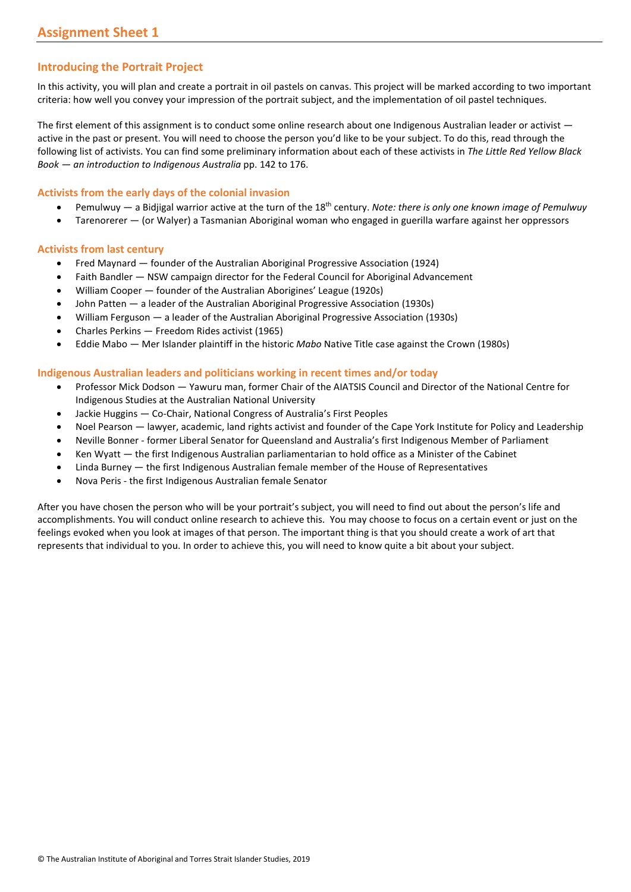# **Introducing the Portrait Project**

In this activity, you will plan and create a portrait in oil pastels on canvas. This project will be marked according to two important criteria: how well you convey your impression of the portrait subject, and the implementation of oil pastel techniques.

The first element of this assignment is to conduct some online research about one Indigenous Australian leader or activist active in the past or present. You will need to choose the person you'd like to be your subject. To do this, read through the following list of activists. You can find some preliminary information about each of these activists in *The Little Red Yellow Black Book — an introduction to Indigenous Australia* pp. 142 to 176.

### **Activists from the early days of the colonial invasion**

- Pemulwuy a Bidjigal warrior active at the turn of the 18th century. *Note: there is only one known image of Pemulwuy*
- Tarenorerer (or Walyer) a Tasmanian Aboriginal woman who engaged in guerilla warfare against her oppressors

### **Activists from last century**

- Fred Maynard founder of the Australian Aboriginal Progressive Association (1924)
- Faith Bandler NSW campaign director for the Federal Council for Aboriginal Advancement
- William Cooper founder of the Australian Aborigines' League (1920s)
- John Patten a leader of the Australian Aboriginal Progressive Association (1930s)
- William Ferguson a leader of the Australian Aboriginal Progressive Association (1930s)
- Charles Perkins Freedom Rides activist (1965)
- Eddie Mabo Mer Islander plaintiff in the historic *Mabo* Native Title case against the Crown (1980s)

### **Indigenous Australian leaders and politicians working in recent times and/or today**

- Professor Mick Dodson Yawuru man, former Chair of the AIATSIS Council and Director of the National Centre for Indigenous Studies at the Australian National University
- Jackie Huggins Co-Chair, National Congress of Australia's First Peoples
- Noel Pearson lawyer, academic, land rights activist and founder of the Cape York Institute for Policy and Leadership
- Neville Bonner former Liberal Senator for Queensland and Australia's first Indigenous Member of Parliament
- Ken Wyatt the first Indigenous Australian parliamentarian to hold office as a Minister of the Cabinet
- Linda Burney the first Indigenous Australian female member of the House of Representatives
- Nova Peris the first Indigenous Australian female Senator

After you have chosen the person who will be your portrait's subject, you will need to find out about the person's life and accomplishments. You will conduct online research to achieve this. You may choose to focus on a certain event or just on the feelings evoked when you look at images of that person. The important thing is that you should create a work of art that represents that individual to you. In order to achieve this, you will need to know quite a bit about your subject.